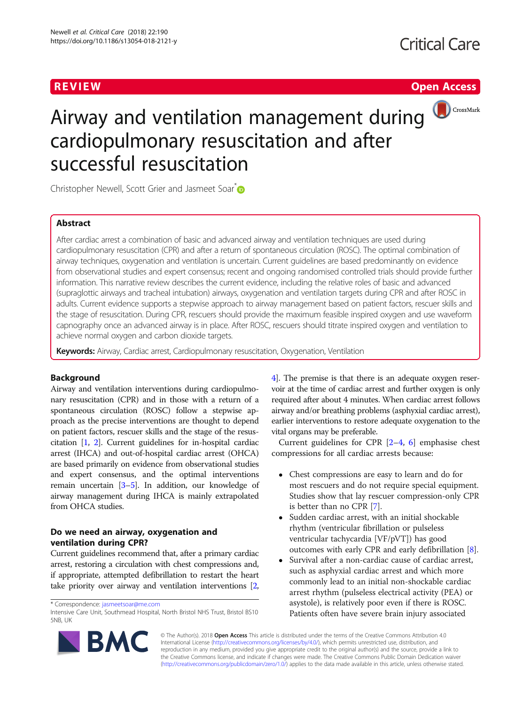# **REVIEW CONTROL** CONTROL CONTROL CONTROL CONTROL CONTROL CONTROL CONTROL CONTROL CONTROL CONTROL CONTROL CONTROL CONTROL CONTROL CONTROL CONTROL CONTROL CONTROL CONTROL CONTROL CONTROL CONTROL CONTROL CONTROL CONTROL CONTR



# Airway and ventilation management during cardiopulmonary resuscitation and after successful resuscitation

Christopher Newell, Scott Grier and Jasmeet Soar<sup>\*</sup>

# Abstract

After cardiac arrest a combination of basic and advanced airway and ventilation techniques are used during cardiopulmonary resuscitation (CPR) and after a return of spontaneous circulation (ROSC). The optimal combination of airway techniques, oxygenation and ventilation is uncertain. Current guidelines are based predominantly on evidence from observational studies and expert consensus; recent and ongoing randomised controlled trials should provide further information. This narrative review describes the current evidence, including the relative roles of basic and advanced (supraglottic airways and tracheal intubation) airways, oxygenation and ventilation targets during CPR and after ROSC in adults. Current evidence supports a stepwise approach to airway management based on patient factors, rescuer skills and the stage of resuscitation. During CPR, rescuers should provide the maximum feasible inspired oxygen and use waveform capnography once an advanced airway is in place. After ROSC, rescuers should titrate inspired oxygen and ventilation to achieve normal oxygen and carbon dioxide targets.

Keywords: Airway, Cardiac arrest, Cardiopulmonary resuscitation, Oxygenation, Ventilation

# Background

Airway and ventilation interventions during cardiopulmonary resuscitation (CPR) and in those with a return of a spontaneous circulation (ROSC) follow a stepwise approach as the precise interventions are thought to depend on patient factors, rescuer skills and the stage of the resuscitation [\[1,](#page-6-0) [2](#page-6-0)]. Current guidelines for in-hospital cardiac arrest (IHCA) and out-of-hospital cardiac arrest (OHCA) are based primarily on evidence from observational studies and expert consensus, and the optimal interventions remain uncertain [\[3](#page-7-0)–[5](#page-7-0)]. In addition, our knowledge of airway management during IHCA is mainly extrapolated from OHCA studies.

# Do we need an airway, oxygenation and ventilation during CPR?

Current guidelines recommend that, after a primary cardiac arrest, restoring a circulation with chest compressions and, if appropriate, attempted defibrillation to restart the heart take priority over airway and ventilation interventions [[2](#page-6-0),



Current guidelines for CPR [\[2](#page-6-0)–[4](#page-7-0), [6](#page-7-0)] emphasise chest compressions for all cardiac arrests because:

- Chest compressions are easy to learn and do for most rescuers and do not require special equipment. Studies show that lay rescuer compression-only CPR is better than no CPR [[7](#page-7-0)].
- Sudden cardiac arrest, with an initial shockable rhythm (ventricular fibrillation or pulseless ventricular tachycardia [VF/pVT]) has good outcomes with early CPR and early defibrillation [[8\]](#page-7-0).
- Survival after a non-cardiac cause of cardiac arrest, such as asphyxial cardiac arrest and which more commonly lead to an initial non-shockable cardiac arrest rhythm (pulseless electrical activity (PEA) or asystole), is relatively poor even if there is ROSC. Patients often have severe brain injury associated



© The Author(s). 2018 Open Access This article is distributed under the terms of the Creative Commons Attribution 4.0 International License [\(http://creativecommons.org/licenses/by/4.0/](http://creativecommons.org/licenses/by/4.0/)), which permits unrestricted use, distribution, and reproduction in any medium, provided you give appropriate credit to the original author(s) and the source, provide a link to the Creative Commons license, and indicate if changes were made. The Creative Commons Public Domain Dedication waiver [\(http://creativecommons.org/publicdomain/zero/1.0/](http://creativecommons.org/publicdomain/zero/1.0/)) applies to the data made available in this article, unless otherwise stated.

<sup>\*</sup> Correspondence: [jasmeetsoar@me.com](mailto:jasmeetsoar@me.com)

Intensive Care Unit, Southmead Hospital, North Bristol NHS Trust, Bristol BS10 5NB, UK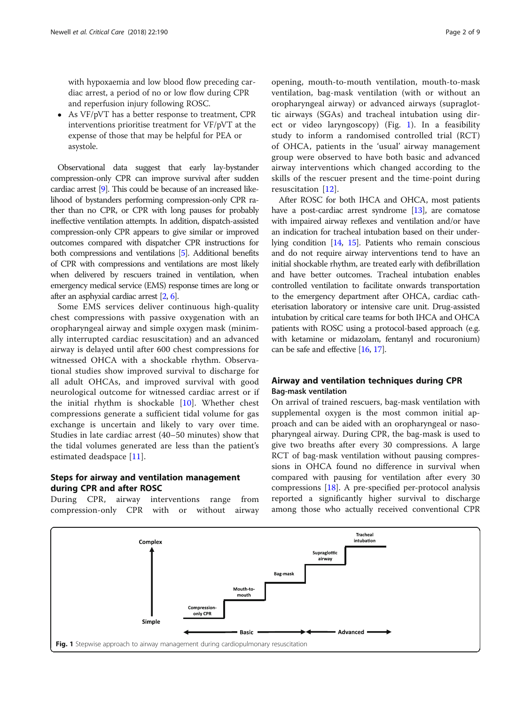<span id="page-1-0"></span>with hypoxaemia and low blood flow preceding cardiac arrest, a period of no or low flow during CPR and reperfusion injury following ROSC.

 As VF/pVT has a better response to treatment, CPR interventions prioritise treatment for VF/pVT at the expense of those that may be helpful for PEA or asystole.

Observational data suggest that early lay-bystander compression-only CPR can improve survival after sudden cardiac arrest [\[9\]](#page-7-0). This could be because of an increased likelihood of bystanders performing compression-only CPR rather than no CPR, or CPR with long pauses for probably ineffective ventilation attempts. In addition, dispatch-assisted compression-only CPR appears to give similar or improved outcomes compared with dispatcher CPR instructions for both compressions and ventilations [\[5\]](#page-7-0). Additional benefits of CPR with compressions and ventilations are most likely when delivered by rescuers trained in ventilation, when emergency medical service (EMS) response times are long or after an asphyxial cardiac arrest [\[2,](#page-6-0) [6\]](#page-7-0).

Some EMS services deliver continuous high-quality chest compressions with passive oxygenation with an oropharyngeal airway and simple oxygen mask (minimally interrupted cardiac resuscitation) and an advanced airway is delayed until after 600 chest compressions for witnessed OHCA with a shockable rhythm. Observational studies show improved survival to discharge for all adult OHCAs, and improved survival with good neurological outcome for witnessed cardiac arrest or if the initial rhythm is shockable [[10\]](#page-7-0). Whether chest compressions generate a sufficient tidal volume for gas exchange is uncertain and likely to vary over time. Studies in late cardiac arrest (40–50 minutes) show that the tidal volumes generated are less than the patient's estimated deadspace [\[11](#page-7-0)].

# Steps for airway and ventilation management during CPR and after ROSC

During CPR, airway interventions range from compression-only CPR with or without airway

opening, mouth-to-mouth ventilation, mouth-to-mask ventilation, bag-mask ventilation (with or without an oropharyngeal airway) or advanced airways (supraglottic airways (SGAs) and tracheal intubation using direct or video laryngoscopy) (Fig. 1). In a feasibility study to inform a randomised controlled trial (RCT) of OHCA, patients in the 'usual' airway management group were observed to have both basic and advanced airway interventions which changed according to the skills of the rescuer present and the time-point during resuscitation [[12\]](#page-7-0).

After ROSC for both IHCA and OHCA, most patients have a post-cardiac arrest syndrome [\[13\]](#page-7-0), are comatose with impaired airway reflexes and ventilation and/or have an indication for tracheal intubation based on their underlying condition [[14](#page-7-0), [15\]](#page-7-0). Patients who remain conscious and do not require airway interventions tend to have an initial shockable rhythm, are treated early with defibrillation and have better outcomes. Tracheal intubation enables controlled ventilation to facilitate onwards transportation to the emergency department after OHCA, cardiac catheterisation laboratory or intensive care unit. Drug-assisted intubation by critical care teams for both IHCA and OHCA patients with ROSC using a protocol-based approach (e.g. with ketamine or midazolam, fentanyl and rocuronium) can be safe and effective [\[16](#page-7-0), [17\]](#page-7-0).

# Airway and ventilation techniques during CPR Bag-mask ventilation

On arrival of trained rescuers, bag-mask ventilation with supplemental oxygen is the most common initial approach and can be aided with an oropharyngeal or nasopharyngeal airway. During CPR, the bag-mask is used to give two breaths after every 30 compressions. A large RCT of bag-mask ventilation without pausing compressions in OHCA found no difference in survival when compared with pausing for ventilation after every 30 compressions [\[18\]](#page-7-0). A pre-specified per-protocol analysis reported a significantly higher survival to discharge among those who actually received conventional CPR

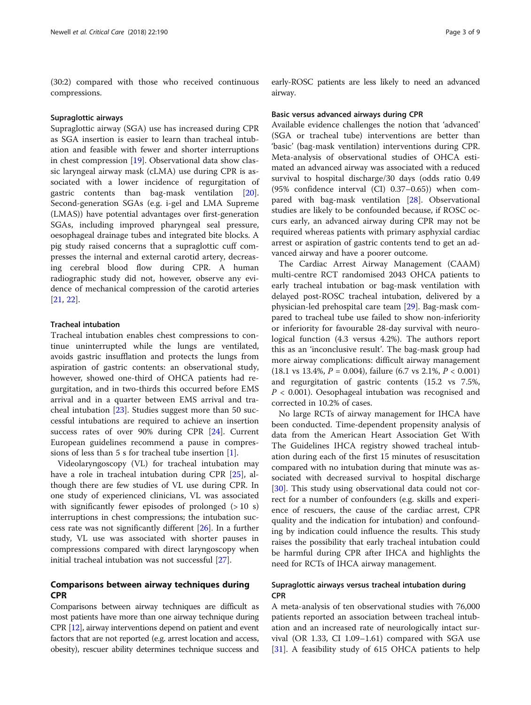(30:2) compared with those who received continuous compressions.

#### Supraglottic airways

Supraglottic airway (SGA) use has increased during CPR as SGA insertion is easier to learn than tracheal intubation and feasible with fewer and shorter interruptions in chest compression [\[19](#page-7-0)]. Observational data show classic laryngeal airway mask (cLMA) use during CPR is associated with a lower incidence of regurgitation of gastric contents than bag-mask ventilation [\[20](#page-7-0)]. Second-generation SGAs (e.g. i-gel and LMA Supreme (LMAS)) have potential advantages over first-generation SGAs, including improved pharyngeal seal pressure, oesophageal drainage tubes and integrated bite blocks. A pig study raised concerns that a supraglottic cuff compresses the internal and external carotid artery, decreasing cerebral blood flow during CPR. A human radiographic study did not, however, observe any evidence of mechanical compression of the carotid arteries [[21,](#page-7-0) [22\]](#page-7-0).

### Tracheal intubation

Tracheal intubation enables chest compressions to continue uninterrupted while the lungs are ventilated, avoids gastric insufflation and protects the lungs from aspiration of gastric contents: an observational study, however, showed one-third of OHCA patients had regurgitation, and in two-thirds this occurred before EMS arrival and in a quarter between EMS arrival and tracheal intubation [[23\]](#page-7-0). Studies suggest more than 50 successful intubations are required to achieve an insertion success rates of over 90% during CPR [\[24](#page-7-0)]. Current European guidelines recommend a pause in compressions of less than 5 s for tracheal tube insertion [\[1](#page-6-0)].

Videolaryngoscopy (VL) for tracheal intubation may have a role in tracheal intubation during CPR [[25](#page-7-0)], although there are few studies of VL use during CPR. In one study of experienced clinicians, VL was associated with significantly fewer episodes of prolonged  $(>10 s)$ interruptions in chest compressions; the intubation success rate was not significantly different [[26\]](#page-7-0). In a further study, VL use was associated with shorter pauses in compressions compared with direct laryngoscopy when initial tracheal intubation was not successful [[27\]](#page-7-0).

# Comparisons between airway techniques during CPR

Comparisons between airway techniques are difficult as most patients have more than one airway technique during CPR [\[12](#page-7-0)], airway interventions depend on patient and event factors that are not reported (e.g. arrest location and access, obesity), rescuer ability determines technique success and

early-ROSC patients are less likely to need an advanced airway.

#### Basic versus advanced airways during CPR

Available evidence challenges the notion that 'advanced' (SGA or tracheal tube) interventions are better than 'basic' (bag-mask ventilation) interventions during CPR. Meta-analysis of observational studies of OHCA estimated an advanced airway was associated with a reduced survival to hospital discharge/30 days (odds ratio 0.49 (95% confidence interval (CI) 0.37–0.65)) when compared with bag-mask ventilation [\[28](#page-7-0)]. Observational studies are likely to be confounded because, if ROSC occurs early, an advanced airway during CPR may not be required whereas patients with primary asphyxial cardiac arrest or aspiration of gastric contents tend to get an advanced airway and have a poorer outcome.

The Cardiac Arrest Airway Management (CAAM) multi-centre RCT randomised 2043 OHCA patients to early tracheal intubation or bag-mask ventilation with delayed post-ROSC tracheal intubation, delivered by a physician-led prehospital care team [\[29\]](#page-7-0). Bag-mask compared to tracheal tube use failed to show non-inferiority or inferiority for favourable 28-day survival with neurological function (4.3 versus 4.2%). The authors report this as an 'inconclusive result'. The bag-mask group had more airway complications: difficult airway management  $(18.1 \text{ vs } 13.4\%, P = 0.004)$ , failure  $(6.7 \text{ vs } 2.1\%, P < 0.001)$ and regurgitation of gastric contents (15.2 vs 7.5%,  $P < 0.001$ ). Oesophageal intubation was recognised and corrected in 10.2% of cases.

No large RCTs of airway management for IHCA have been conducted. Time-dependent propensity analysis of data from the American Heart Association Get With The Guidelines IHCA registry showed tracheal intubation during each of the first 15 minutes of resuscitation compared with no intubation during that minute was associated with decreased survival to hospital discharge [[30\]](#page-7-0). This study using observational data could not correct for a number of confounders (e.g. skills and experience of rescuers, the cause of the cardiac arrest, CPR quality and the indication for intubation) and confounding by indication could influence the results. This study raises the possibility that early tracheal intubation could be harmful during CPR after IHCA and highlights the need for RCTs of IHCA airway management.

# Supraglottic airways versus tracheal intubation during CPR

A meta-analysis of ten observational studies with 76,000 patients reported an association between tracheal intubation and an increased rate of neurologically intact survival (OR 1.33, CI 1.09–1.61) compared with SGA use [[31\]](#page-7-0). A feasibility study of 615 OHCA patients to help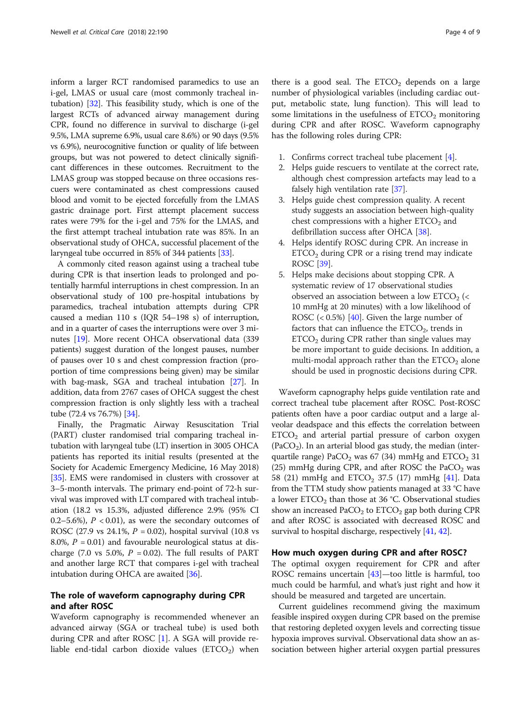inform a larger RCT randomised paramedics to use an i-gel, LMAS or usual care (most commonly tracheal intubation) [\[32\]](#page-7-0). This feasibility study, which is one of the largest RCTs of advanced airway management during CPR, found no difference in survival to discharge (i-gel 9.5%, LMA supreme 6.9%, usual care 8.6%) or 90 days (9.5% vs 6.9%), neurocognitive function or quality of life between groups, but was not powered to detect clinically significant differences in these outcomes. Recruitment to the LMAS group was stopped because on three occasions rescuers were contaminated as chest compressions caused blood and vomit to be ejected forcefully from the LMAS gastric drainage port. First attempt placement success rates were 79% for the i-gel and 75% for the LMAS, and the first attempt tracheal intubation rate was 85%. In an observational study of OHCA, successful placement of the laryngeal tube occurred in 85% of 344 patients [[33](#page-7-0)].

A commonly cited reason against using a tracheal tube during CPR is that insertion leads to prolonged and potentially harmful interruptions in chest compression. In an observational study of 100 pre-hospital intubations by paramedics, tracheal intubation attempts during CPR caused a median 110 s (IQR 54–198 s) of interruption, and in a quarter of cases the interruptions were over 3 minutes [[19](#page-7-0)]. More recent OHCA observational data (339 patients) suggest duration of the longest pauses, number of pauses over 10 s and chest compression fraction (proportion of time compressions being given) may be similar with bag-mask, SGA and tracheal intubation [\[27\]](#page-7-0). In addition, data from 2767 cases of OHCA suggest the chest compression fraction is only slightly less with a tracheal tube (72.4 vs 76.7%) [\[34\]](#page-7-0).

Finally, the Pragmatic Airway Resuscitation Trial (PART) cluster randomised trial comparing tracheal intubation with laryngeal tube (LT) insertion in 3005 OHCA patients has reported its initial results (presented at the Society for Academic Emergency Medicine, 16 May 2018) [[35](#page-7-0)]. EMS were randomised in clusters with crossover at 3–5-month intervals. The primary end-point of 72-h survival was improved with LT compared with tracheal intubation (18.2 vs 15.3%, adjusted difference 2.9% (95% CI 0.2–5.6%),  $P < 0.01$ ), as were the secondary outcomes of ROSC (27.9 vs 24.1%,  $P = 0.02$ ), hospital survival (10.8 vs 8.0%,  $P = 0.01$ ) and favourable neurological status at discharge (7.0 vs 5.0%,  $P = 0.02$ ). The full results of PART and another large RCT that compares i-gel with tracheal intubation during OHCA are awaited [\[36\]](#page-7-0).

# The role of waveform capnography during CPR and after ROSC

Waveform capnography is recommended whenever an advanced airway (SGA or tracheal tube) is used both during CPR and after ROSC [[1](#page-6-0)]. A SGA will provide reliable end-tidal carbon dioxide values  $(ETCO<sub>2</sub>)$  when

there is a good seal. The  $ETCO<sub>2</sub>$  depends on a large number of physiological variables (including cardiac output, metabolic state, lung function). This will lead to some limitations in the usefulness of  $ETCO<sub>2</sub>$  monitoring during CPR and after ROSC. Waveform capnography has the following roles during CPR:

- 1. Confirms correct tracheal tube placement [\[4](#page-7-0)].
- 2. Helps guide rescuers to ventilate at the correct rate, although chest compression artefacts may lead to a falsely high ventilation rate [\[37\]](#page-7-0).
- 3. Helps guide chest compression quality. A recent study suggests an association between high-quality chest compressions with a higher  $ETCO<sub>2</sub>$  and defibrillation success after OHCA [\[38\]](#page-7-0).
- 4. Helps identify ROSC during CPR. An increase in  $ETCO<sub>2</sub>$  during CPR or a rising trend may indicate ROSC [\[39](#page-8-0)].
- 5. Helps make decisions about stopping CPR. A systematic review of 17 observational studies observed an association between a low  $ETCO<sub>2</sub>$  (< 10 mmHg at 20 minutes) with a low likelihood of ROSC  $\left($  < 0.5%) [\[40\]](#page-8-0). Given the large number of factors that can influence the  $ETCO<sub>2</sub>$ , trends in  $ETCO<sub>2</sub>$  during CPR rather than single values may be more important to guide decisions. In addition, a multi-modal approach rather than the  $ETCO<sub>2</sub>$  alone should be used in prognostic decisions during CPR.

Waveform capnography helps guide ventilation rate and correct tracheal tube placement after ROSC. Post-ROSC patients often have a poor cardiac output and a large alveolar deadspace and this effects the correlation between  $ETCO<sub>2</sub>$  and arterial partial pressure of carbon oxygen  $(PaCO<sub>2</sub>)$ . In an arterial blood gas study, the median (interquartile range) PaCO<sub>2</sub> was 67 (34) mmHg and  $ETCO_2$  31 (25) mmHg during CPR, and after ROSC the PaCO<sub>2</sub> was 58 (21) mmHg and  $ETCO<sub>2</sub>$  37.5 (17) mmHg [[41](#page-8-0)]. Data from the TTM study show patients managed at 33 °C have a lower  $ETCO<sub>2</sub>$  than those at 36 °C. Observational studies show an increased  $PaCO<sub>2</sub>$  to  $ETCO<sub>2</sub>$  gap both during CPR and after ROSC is associated with decreased ROSC and survival to hospital discharge, respectively [[41](#page-8-0), [42\]](#page-8-0).

#### How much oxygen during CPR and after ROSC?

The optimal oxygen requirement for CPR and after ROSC remains uncertain [[43](#page-8-0)]—too little is harmful, too much could be harmful, and what's just right and how it should be measured and targeted are uncertain.

Current guidelines recommend giving the maximum feasible inspired oxygen during CPR based on the premise that restoring depleted oxygen levels and correcting tissue hypoxia improves survival. Observational data show an association between higher arterial oxygen partial pressures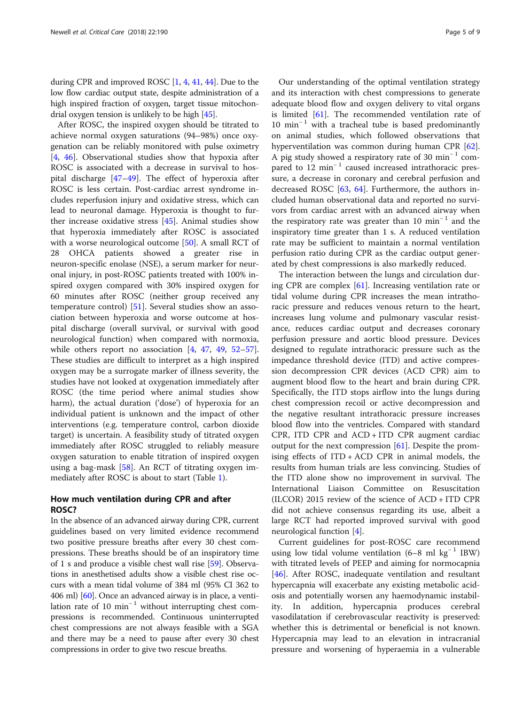during CPR and improved ROSC [\[1,](#page-6-0) [4,](#page-7-0) [41](#page-8-0), [44\]](#page-8-0). Due to the low flow cardiac output state, despite administration of a high inspired fraction of oxygen, target tissue mitochondrial oxygen tension is unlikely to be high [\[45\]](#page-8-0).

After ROSC, the inspired oxygen should be titrated to achieve normal oxygen saturations (94–98%) once oxygenation can be reliably monitored with pulse oximetry [[4,](#page-7-0) [46\]](#page-8-0). Observational studies show that hypoxia after ROSC is associated with a decrease in survival to hospital discharge [\[47](#page-8-0)–[49\]](#page-8-0). The effect of hyperoxia after ROSC is less certain. Post-cardiac arrest syndrome includes reperfusion injury and oxidative stress, which can lead to neuronal damage. Hyperoxia is thought to further increase oxidative stress [\[45](#page-8-0)]. Animal studies show that hyperoxia immediately after ROSC is associated with a worse neurological outcome [\[50](#page-8-0)]. A small RCT of 28 OHCA patients showed a greater rise in neuron-specific enolase (NSE), a serum marker for neuronal injury, in post-ROSC patients treated with 100% inspired oxygen compared with 30% inspired oxygen for 60 minutes after ROSC (neither group received any temperature control) [\[51](#page-8-0)]. Several studies show an association between hyperoxia and worse outcome at hospital discharge (overall survival, or survival with good neurological function) when compared with normoxia, while others report no association [\[4](#page-7-0), [47](#page-8-0), [49](#page-8-0), [52](#page-8-0)–[57](#page-8-0)]. These studies are difficult to interpret as a high inspired oxygen may be a surrogate marker of illness severity, the studies have not looked at oxygenation immediately after ROSC (the time period where animal studies show harm), the actual duration ('dose') of hyperoxia for an individual patient is unknown and the impact of other interventions (e.g. temperature control, carbon dioxide target) is uncertain. A feasibility study of titrated oxygen immediately after ROSC struggled to reliably measure oxygen saturation to enable titration of inspired oxygen using a bag-mask [[58](#page-8-0)]. An RCT of titrating oxygen immediately after ROSC is about to start (Table [1\)](#page-5-0).

# How much ventilation during CPR and after ROSC?

In the absence of an advanced airway during CPR, current guidelines based on very limited evidence recommend two positive pressure breaths after every 30 chest compressions. These breaths should be of an inspiratory time of 1 s and produce a visible chest wall rise [[59](#page-8-0)]. Observations in anesthetised adults show a visible chest rise occurs with a mean tidal volume of 384 ml (95% CI 362 to 406 ml) [\[60\]](#page-8-0). Once an advanced airway is in place, a ventilation rate of 10 min<sup>-1</sup> without interrupting chest compressions is recommended. Continuous uninterrupted chest compressions are not always feasible with a SGA and there may be a need to pause after every 30 chest compressions in order to give two rescue breaths.

Our understanding of the optimal ventilation strategy and its interaction with chest compressions to generate adequate blood flow and oxygen delivery to vital organs is limited [[61\]](#page-8-0). The recommended ventilation rate of  $10 \text{ min}^{-1}$  with a tracheal tube is based predominantly on animal studies, which followed observations that hyperventilation was common during human CPR [\[62](#page-8-0)]. A pig study showed a respiratory rate of 30 min<sup>-1</sup> compared to 12 min<sup>-1</sup> caused increased intrathoracic pressure, a decrease in coronary and cerebral perfusion and decreased ROSC [[63](#page-8-0), [64](#page-8-0)]. Furthermore, the authors included human observational data and reported no survivors from cardiac arrest with an advanced airway when the respiratory rate was greater than 10 min<sup>-1</sup> and the inspiratory time greater than 1 s. A reduced ventilation rate may be sufficient to maintain a normal ventilation perfusion ratio during CPR as the cardiac output generated by chest compressions is also markedly reduced.

The interaction between the lungs and circulation during CPR are complex [[61\]](#page-8-0). Increasing ventilation rate or tidal volume during CPR increases the mean intrathoracic pressure and reduces venous return to the heart, increases lung volume and pulmonary vascular resistance, reduces cardiac output and decreases coronary perfusion pressure and aortic blood pressure. Devices designed to regulate intrathoracic pressure such as the impedance threshold device (ITD) and active compression decompression CPR devices (ACD CPR) aim to augment blood flow to the heart and brain during CPR. Specifically, the ITD stops airflow into the lungs during chest compression recoil or active decompression and the negative resultant intrathoracic pressure increases blood flow into the ventricles. Compared with standard CPR, ITD CPR and ACD + ITD CPR augment cardiac output for the next compression [[61\]](#page-8-0). Despite the promising effects of ITD + ACD CPR in animal models, the results from human trials are less convincing. Studies of the ITD alone show no improvement in survival. The International Liaison Committee on Resuscitation (ILCOR) 2015 review of the science of ACD + ITD CPR did not achieve consensus regarding its use, albeit a large RCT had reported improved survival with good neurological function [\[4](#page-7-0)].

Current guidelines for post-ROSC care recommend using low tidal volume ventilation (6–8 ml kg<sup>-1</sup> IBW) with titrated levels of PEEP and aiming for normocapnia [[46\]](#page-8-0). After ROSC, inadequate ventilation and resultant hypercapnia will exacerbate any existing metabolic acidosis and potentially worsen any haemodynamic instability. In addition, hypercapnia produces cerebral vasodilatation if cerebrovascular reactivity is preserved: whether this is detrimental or beneficial is not known. Hypercapnia may lead to an elevation in intracranial pressure and worsening of hyperaemia in a vulnerable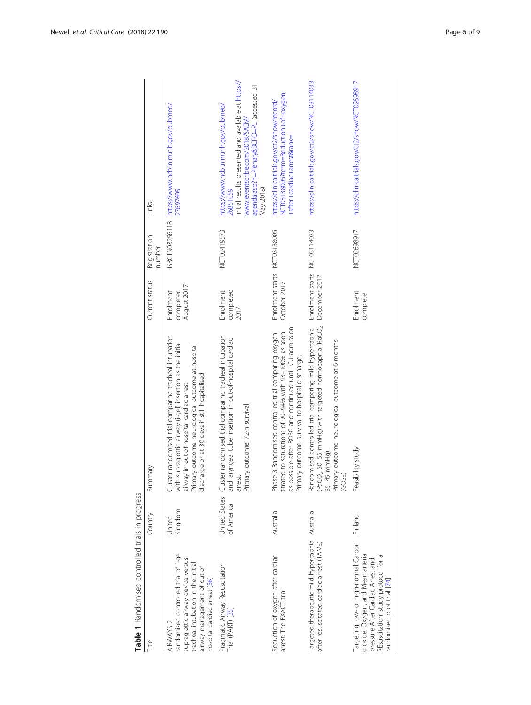<span id="page-5-0"></span>

| <b>Construction of the Construction of the Construction of the Construction of the Construction of the Construction of the Construction of the Construction of the Construction of the Construction of the Construction of the C</b> |                   |                                                                                                                                                                                                                                                                       |                                       |                        |                                                                                                                                                                                                     |
|--------------------------------------------------------------------------------------------------------------------------------------------------------------------------------------------------------------------------------------|-------------------|-----------------------------------------------------------------------------------------------------------------------------------------------------------------------------------------------------------------------------------------------------------------------|---------------------------------------|------------------------|-----------------------------------------------------------------------------------------------------------------------------------------------------------------------------------------------------|
| Title                                                                                                                                                                                                                                | Country           | Summary                                                                                                                                                                                                                                                               | Current status                        | Registration<br>number | Links                                                                                                                                                                                               |
| randomised controlled trial of i-gel<br>supraglottic airway device versus<br>tracheal intubation in the initial<br>airway management of out of<br>hospital cardiac arrest [36]<br>AIRWAYS-2                                          | Kingdom<br>Jnited | Cluster randomised trial comparing tracheal intubation<br>with supraglottic airway (i-gel) insertion as the initial<br>Primary outcome: neurological outcome at hospital<br>discharge or at 30 days if still hospitalised<br>airway in out-of-hospital cardiac arrest | August 2017<br>completed<br>Enrolment | <b>ISRCTN08256118</b>  | https://www.ncbi.nlm.nih.gov/pubmed/<br>27697605                                                                                                                                                    |
| Pragmatic Airway Resuscitation<br>Trial (PART) [35]                                                                                                                                                                                  | of America        | United States Cluster randomised trial comparing tracheal intubation<br>and laryngeal tube insertion in out-of-hospital cardiac<br>Primary outcome: 72-h survival<br>arrest.                                                                                          | completed<br>Enrolment<br>2017        | NCT02419573            | Initial results presented and available at https://<br>agenda.asp?h=Plenary&BCFO=PL (accessed 31<br>https://www.ncbi.nlm.nih.gov/pubmed/<br>www.eventscribe.com/2018/SAEM/<br>May 2018)<br>26851059 |
| Reduction of oxygen after cardiac<br>arrest: The EXACT trial                                                                                                                                                                         | Australia         | as possible after ROSC and continued until ICU admission<br>titrated to saturations of 90-94% with 98-100% as soon<br>3 Randomised controlled trial comparing oxygen<br>Primary outcome: survival to hospital discharge.<br>Phase                                     | Enrolment starts<br>October 2017      | NCT03138005            | NCT03138005?term=Reduction+of+oxygen<br>https://clinicaltrials.gov/ct2/show/record/<br>+after+cardiac+arrest&rank=1                                                                                 |
| Targeted therapeutic mild hypercapnia Australia<br>after resuscitated cardiac arrest (TAME)                                                                                                                                          |                   | (PaCO <sub>2</sub> 50-55 mmHg) with targeted normocapnia (PaCO <sub>2</sub><br>Randomised controlled trial comparing mild hypercapnia<br>Primary outcome: neurological outcome at 6 months<br>$35-45$ mm $HQ$<br>(GOSE)                                               | Enrolment starts<br>December 2017     | NCT03114033            | https://clinicaltrials.gov/ct2/show/NCT03114033                                                                                                                                                     |
| Targeting low- or high-normal Carbon<br>dioxide, Oxygen, and Mean arterial<br>REsuscitation: study protocol for a<br>pressure After Cardiac Arrest and<br>randomised pilot trial [74]                                                | Finland           | Feasibility study                                                                                                                                                                                                                                                     | Enrolment<br>complete                 | NCT02698917            | https://clinicaltrials.gov/ct2/show/NCT02698917                                                                                                                                                     |

Table 1 Randomised controlled trials in progress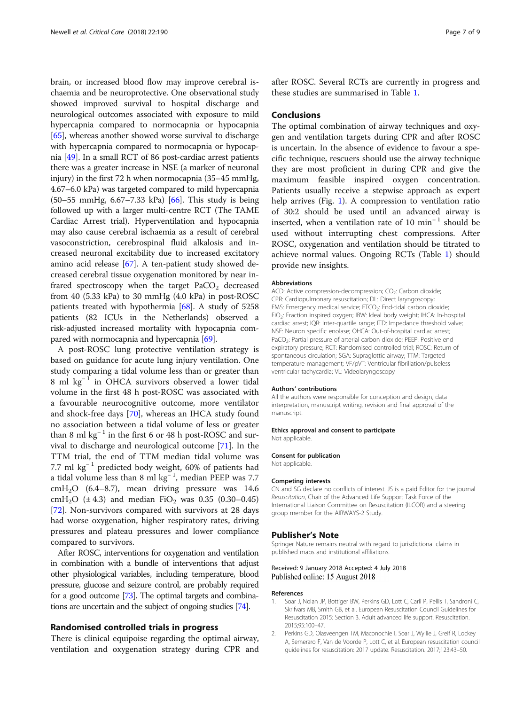<span id="page-6-0"></span>brain, or increased blood flow may improve cerebral ischaemia and be neuroprotective. One observational study showed improved survival to hospital discharge and neurological outcomes associated with exposure to mild hypercapnia compared to normocapnia or hypocapnia [[65](#page-8-0)], whereas another showed worse survival to discharge with hypercapnia compared to normocapnia or hypocapnia [[49\]](#page-8-0). In a small RCT of 86 post-cardiac arrest patients there was a greater increase in NSE (a marker of neuronal injury) in the first 72 h when normocapnia (35–45 mmHg, 4.67–6.0 kPa) was targeted compared to mild hypercapnia (50–55 mmHg, 6.67–7.33 kPa) [[66](#page-8-0)]. This study is being followed up with a larger multi-centre RCT (The TAME Cardiac Arrest trial). Hyperventilation and hypocapnia may also cause cerebral ischaemia as a result of cerebral vasoconstriction, cerebrospinal fluid alkalosis and increased neuronal excitability due to increased excitatory amino acid release [\[67\]](#page-8-0). A ten-patient study showed decreased cerebral tissue oxygenation monitored by near infrared spectroscopy when the target  $PaCO<sub>2</sub>$  decreased from 40 (5.33 kPa) to 30 mmHg (4.0 kPa) in post-ROSC patients treated with hypothermia [[68](#page-8-0)]. A study of 5258 patients (82 ICUs in the Netherlands) observed a risk-adjusted increased mortality with hypocapnia compared with normocapnia and hypercapnia [\[69\]](#page-8-0).

A post-ROSC lung protective ventilation strategy is based on guidance for acute lung injury ventilation. One study comparing a tidal volume less than or greater than 8 ml kg<sup>-1</sup> in OHCA survivors observed a lower tidal volume in the first 48 h post-ROSC was associated with a favourable neurocognitive outcome, more ventilator and shock-free days [\[70\]](#page-8-0), whereas an IHCA study found no association between a tidal volume of less or greater than 8 ml kg<sup> $-1$ </sup> in the first 6 or 48 h post-ROSC and survival to discharge and neurological outcome [[71\]](#page-8-0). In the TTM trial, the end of TTM median tidal volume was 7.7 ml kg<sup>-1</sup> predicted body weight, 60% of patients had a tidal volume less than 8 ml  $kg^{-1}$ , median PEEP was 7.7  $cmH<sub>2</sub>O$  (6.4–8.7), mean driving pressure was 14.6 cmH<sub>2</sub>O ( $\pm$  4.3) and median FiO<sub>2</sub> was 0.35 (0.30–0.45) [[72\]](#page-8-0). Non-survivors compared with survivors at 28 days had worse oxygenation, higher respiratory rates, driving pressures and plateau pressures and lower compliance compared to survivors.

After ROSC, interventions for oxygenation and ventilation in combination with a bundle of interventions that adjust other physiological variables, including temperature, blood pressure, glucose and seizure control, are probably required for a good outcome [\[73](#page-8-0)]. The optimal targets and combinations are uncertain and the subject of ongoing studies [\[74\]](#page-8-0).

#### Randomised controlled trials in progress

There is clinical equipoise regarding the optimal airway, ventilation and oxygenation strategy during CPR and after ROSC. Several RCTs are currently in progress and these studies are summarised in Table [1.](#page-5-0)

# **Conclusions**

The optimal combination of airway techniques and oxygen and ventilation targets during CPR and after ROSC is uncertain. In the absence of evidence to favour a specific technique, rescuers should use the airway technique they are most proficient in during CPR and give the maximum feasible inspired oxygen concentration. Patients usually receive a stepwise approach as expert help arrives (Fig. [1\)](#page-1-0). A compression to ventilation ratio of 30:2 should be used until an advanced airway is inserted, when a ventilation rate of 10 min<sup>-1</sup> should be used without interrupting chest compressions. After ROSC, oxygenation and ventilation should be titrated to achieve normal values. Ongoing RCTs (Table [1](#page-5-0)) should provide new insights.

#### Abbreviations

ACD: Active compression-decompression; CO<sub>2</sub>: Carbon dioxide; CPR: Cardiopulmonary resuscitation; DL: Direct laryngoscopy; EMS: Emergency medical service; ETCO<sub>2</sub>: End-tidal carbon dioxide; FiO2: Fraction inspired oxygen; IBW: Ideal body weight; IHCA: In-hospital cardiac arrest; IQR: Inter-quartile range; ITD: Impedance threshold valve; NSE: Neuron specific enolase; OHCA: Out-of-hospital cardiac arrest; PaCO<sub>2</sub>: Partial pressure of arterial carbon dioxide; PEEP: Positive end expiratory pressure; RCT: Randomised controlled trial; ROSC: Return of spontaneous circulation; SGA: Supraglottic airway; TTM: Targeted temperature management; VF/pVT: Ventricular fibrillation/pulseless ventricular tachycardia; VL: Videolaryngoscopy

#### Authors' contributions

All the authors were responsible for conception and design, data interpretation, manuscript writing, revision and final approval of the manuscript.

#### Ethics approval and consent to participate Not applicable.

# Consent for publication

Not applicable.

#### Competing interests

CN and SG declare no conflicts of interest. JS is a paid Editor for the journal Resuscitation, Chair of the Advanced Life Support Task Force of the International Liaison Committee on Resuscitation (ILCOR) and a steering group member for the AIRWAYS-2 Study.

#### Publisher's Note

Springer Nature remains neutral with regard to jurisdictional claims in published maps and institutional affiliations.

#### Received: 9 January 2018 Accepted: 4 July 2018 Published online: 15 August 2018

#### References

- 1. Soar J, Nolan JP, Bottiger BW, Perkins GD, Lott C, Carli P, Pellis T, Sandroni C, Skrifvars MB, Smith GB, et al. European Resuscitation Council Guidelines for Resuscitation 2015: Section 3. Adult advanced life support. Resuscitation. 2015;95:100–47.
- 2. Perkins GD, Olasveengen TM, Maconochie I, Soar J, Wyllie J, Greif R, Lockey A, Semeraro F, Van de Voorde P, Lott C, et al. European resuscitation council guidelines for resuscitation: 2017 update. Resuscitation. 2017;123:43–50.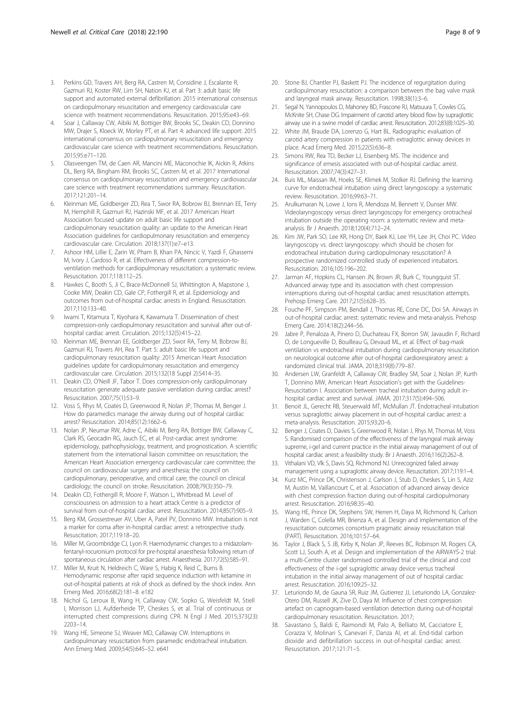- <span id="page-7-0"></span>3. Perkins GD, Travers AH, Berg RA, Castren M, Considine J, Escalante R, Gazmuri RJ, Koster RW, Lim SH, Nation KJ, et al. Part 3: adult basic life support and automated external defibrillation: 2015 international consensus on cardiopulmonary resuscitation and emergency cardiovascular care science with treatment recommendations. Resuscitation. 2015;95:e43–69.
- 4. Soar J, Callaway CW, Aibiki M, Bottiger BW, Brooks SC, Deakin CD, Donnino MW, Drajer S, Kloeck W, Morley PT, et al. Part 4: advanced life support: 2015 international consensus on cardiopulmonary resuscitation and emergency cardiovascular care science with treatment recommendations. Resuscitation. 2015;95:e71–120.
- 5. Olasveengen TM, de Caen AR, Mancini ME, Maconochie IK, Aickin R, Atkins DL, Berg RA, Bingham RM, Brooks SC, Castren M, et al. 2017 International consensus on cardiopulmonary resuscitation and emergency cardiovascular care science with treatment recommendations summary. Resuscitation. 2017;121:201–14.
- Kleinman ME, Goldberger ZD, Rea T, Swor RA, Bobrow BJ, Brennan EE, Terry M, Hemphill R, Gazmuri RJ, Hazinski MF, et al. 2017 American Heart Association focused update on adult basic life support and cardiopulmonary resuscitation quality: an update to the American Heart Association guidelines for cardiopulmonary resuscitation and emergency cardiovascular care. Circulation. 2018;137(1):e7–e13.
- 7. Ashoor HM, Lillie E, Zarin W, Pham B, Khan PA, Nincic V, Yazdi F, Ghassemi M, Ivory J, Cardoso R, et al. Effectiveness of different compression-toventilation methods for cardiopulmonary resuscitation: a systematic review. Resuscitation. 2017;118:112–25.
- 8. Hawkes C, Booth S, Ji C, Brace-McDonnell SJ, Whittington A, Mapstone J, Cooke MW, Deakin CD, Gale CP, Fothergill R, et al. Epidemiology and outcomes from out-of-hospital cardiac arrests in England. Resuscitation. 2017;110:133–40.
- Iwami T, Kitamura T, Kiyohara K, Kawamura T. Dissemination of chest compression-only cardiopulmonary resuscitation and survival after out-ofhospital cardiac arrest. Circulation. 2015;132(5):415–22.
- 10. Kleinman ME, Brennan EE, Goldberger ZD, Swor RA, Terry M, Bobrow BJ, Gazmuri RJ, Travers AH, Rea T. Part 5: adult basic life support and cardiopulmonary resuscitation quality: 2015 American Heart Association guidelines update for cardiopulmonary resuscitation and emergency cardiovascular care. Circulation. 2015;132(18 Suppl 2):S414–35.
- 11. Deakin CD, O'Neill JF, Tabor T. Does compression-only cardiopulmonary resuscitation generate adequate passive ventilation during cardiac arrest? Resuscitation. 2007;75(1):53–9.
- 12. Voss S, Rhys M, Coates D, Greenwood R, Nolan JP, Thomas M, Benger J. How do paramedics manage the airway during out of hospital cardiac arrest? Resuscitation. 2014;85(12):1662–6.
- 13. Nolan JP, Neumar RW, Adrie C, Aibiki M, Berg RA, Bottiger BW, Callaway C, Clark RS, Geocadin RG, Jauch EC, et al. Post-cardiac arrest syndrome: epidemiology, pathophysiology, treatment, and prognostication. A scientific statement from the international liaison committee on resuscitation; the American Heart Association emergency cardiovascular care committee; the council on cardiovascular surgery and anesthesia; the council on cardiopulmonary, perioperative, and critical care; the council on clinical cardiology; the council on stroke. Resuscitation. 2008;79(3):350–79.
- 14. Deakin CD, Fothergill R, Moore F, Watson L, Whitbread M. Level of consciousness on admission to a heart attack Centre is a predictor of survival from out-of-hospital cardiac arrest. Resuscitation. 2014;85(7):905–9.
- 15. Berg KM, Grossestreuer AV, Uber A, Patel PV, Donnino MW. Intubation is not a marker for coma after in-hospital cardiac arrest: a retrospective study. Resuscitation. 2017;119:18–20.
- 16. Miller M, Groombridge CJ, Lyon R. Haemodynamic changes to a midazolamfentanyl-rocuronium protocol for pre-hospital anaesthesia following return of spontaneous circulation after cardiac arrest. Anaesthesia. 2017;72(5):585–91.
- 17. Miller M, Kruit N, Heldreich C, Ware S, Habig K, Reid C, Burns B. Hemodynamic response after rapid sequence induction with ketamine in out-of-hospital patients at risk of shock as defined by the shock index. Ann Emerg Med. 2016;68(2):181–8. e182
- 18. Nichol G, Leroux B, Wang H, Callaway CW, Sopko G, Weisfeldt M, Stiell I, Morrison LJ, Aufderheide TP, Cheskes S, et al. Trial of continuous or interrupted chest compressions during CPR. N Engl J Med. 2015;373(23): 2203–14.
- 19. Wang HE, Simeone SJ, Weaver MD, Callaway CW. Interruptions in cardiopulmonary resuscitation from paramedic endotracheal intubation. Ann Emerg Med. 2009;54(5):645–52. e641
- 20. Stone BJ, Chantler PJ, Baskett PJ. The incidence of regurgitation during cardiopulmonary resuscitation: a comparison between the bag valve mask and laryngeal mask airway. Resuscitation. 1998;38(1):3–6.
- 21. Segal N, Yannopoulos D, Mahoney BD, Frascone RJ, Matsuura T, Cowles CG, McKnite SH, Chase DG. Impairment of carotid artery blood flow by supraglottic airway use in a swine model of cardiac arrest. Resuscitation. 2012;83(8):1025–30.
- 22. White JM, Braude DA, Lorenzo G, Hart BL. Radiographic evaluation of carotid artery compression in patients with extraglottic airway devices in place. Acad Emerg Med. 2015;22(5):636–8.
- 23. Simons RW, Rea TD, Becker LJ, Eisenberg MS. The incidence and significance of emesis associated with out-of-hospital cardiac arrest. Resuscitation. 2007;74(3):427–31.
- 24. Buis ML, Maissan IM, Hoeks SE, Klimek M, Stolker RJ. Defining the learning curve for endotracheal intubation using direct laryngoscopy: a systematic review. Resuscitation. 2016;99:63–71.
- 25. Arulkumaran N, Lowe J, Ions R, Mendoza M, Bennett V, Dunser MW. Videolaryngoscopy versus direct laryngoscopy for emergency orotracheal intubation outside the operating room: a systematic review and metaanalysis. Br J Anaesth. 2018;120(4):712–24.
- 26. Kim JW, Park SO, Lee KR, Hong DY, Baek KJ, Lee YH, Lee JH, Choi PC. Video laryngoscopy vs. direct laryngoscopy: which should be chosen for endotracheal intubation during cardiopulmonary resuscitation? A prospective randomized controlled study of experienced intubators. Resuscitation. 2016;105:196–202.
- 27. Jarman AF, Hopkins CL, Hansen JN, Brown JR, Burk C, Youngquist ST. Advanced airway type and its association with chest compression interruptions during out-of-hospital cardiac arrest resuscitation attempts. Prehosp Emerg Care. 2017;21(5):628–35.
- 28. Fouche PF, Simpson PM, Bendall J, Thomas RE, Cone DC, Doi SA. Airways in out-of-hospital cardiac arrest: systematic review and meta-analysis. Prehosp Emerg Care. 2014;18(2):244–56.
- 29. Jabre P, Penaloza A, Pinero D, Duchateau FX, Borron SW, Javaudin F, Richard O, de Longueville D, Bouilleau G, Devaud ML, et al. Effect of bag-mask ventilation vs endotracheal intubation during cardiopulmonary resuscitation on neurological outcome after out-of-hospital cardiorespiratory arrest: a randomized clinical trial. JAMA. 2018;319(8):779–87.
- 30. Andersen LW, Granfeldt A, Callaway CW, Bradley SM, Soar J, Nolan JP, Kurth T, Donnino MW, American Heart Association's get with the Guidelines-Resuscitation I. Association between tracheal intubation during adult inhospital cardiac arrest and survival. JAMA. 2017;317(5):494–506.
- 31. Benoit JL, Gerecht RB, Steuerwald MT, McMullan JT. Endotracheal intubation versus supraglottic airway placement in out-of-hospital cardiac arrest: a meta-analysis. Resuscitation. 2015;93:20–6.
- 32. Benger J, Coates D, Davies S, Greenwood R, Nolan J, Rhys M, Thomas M, Voss S. Randomised comparison of the effectiveness of the laryngeal mask airway supreme, i-gel and current practice in the initial airway management of out of hospital cardiac arrest: a feasibility study. Br J Anaesth. 2016;116(2):262–8.
- 33. Vithalani VD, Vlk S, Davis SQ, Richmond NJ. Unrecognized failed airway management using a supraglottic airway device. Resuscitation. 2017;119:1–4.
- 34. Kurz MC, Prince DK, Christenson J, Carlson J, Stub D, Cheskes S, Lin S, Aziz M, Austin M, Vaillancourt C, et al. Association of advanced airway device with chest compression fraction during out-of-hospital cardiopulmonary arrest. Resuscitation. 2016;98:35–40.
- 35. Wang HE, Prince DK, Stephens SW, Herren H, Daya M, Richmond N, Carlson J, Warden C, Colella MR, Brienza A, et al. Design and implementation of the resuscitation outcomes consortium pragmatic airway resuscitation trial (PART). Resuscitation. 2016;101:57–64.
- 36. Taylor J, Black S, S JB, Kirby K, Nolan JP, Reeves BC, Robinson M, Rogers CA, Scott LJ, South A, et al. Design and implementation of the AIRWAYS-2 trial: a multi-Centre cluster randomised controlled trial of the clinical and cost effectiveness of the i-gel supraglottic airway device versus tracheal intubation in the initial airway management of out of hospital cardiac arrest. Resuscitation. 2016;109:25–32.
- 37. Leturiondo M, de Gauna SR, Ruiz JM, Gutierrez JJ, Leturiondo LA, Gonzalez-Otero DM, Russell JK, Zive D, Daya M. Influence of chest compression artefact on capnogram-based ventilation detection during out-of-hospital cardiopulmonary resuscitation. Resuscitation. 2017;
- 38. Savastano S, Baldi E, Raimondi M, Palo A, Belliato M, Cacciatore E, Corazza V, Molinari S, Canevari F, Danza AI, et al. End-tidal carbon dioxide and defibrillation success in out-of-hospital cardiac arrest. Resuscitation. 2017;121:71–5.